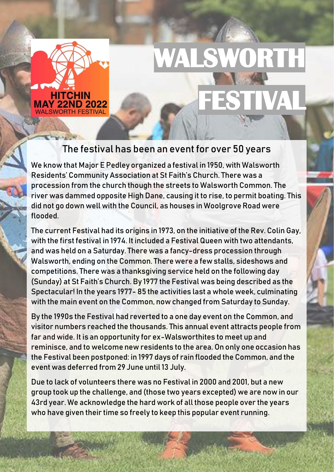

# **WALSWORTH FESTIVAL**

#### The festival has been an event for over 50 years

We know that Major E Pedley organized a festival in 1950, with Walsworth Residents' Community Association at St Faith's Church. There was a procession from the church though the streets to Walsworth Common. The river was dammed opposite High Dane, causing it to rise, to permit boating. This did not go down well with the Council, as houses in Woolgrove Road were flooded.

The current Festival had its origins in 1973, on the initiative of the Rev. Colin Gay, with the first festival in 1974. It included a Festival Queen with two attendants, and was held on a Saturday. There was a fancy-dress procession through Walsworth, ending on the Common. There were a few stalls, sideshows and competitions. There was a thanksgiving service held on the following day (Sunday) at St Faith's Church. By 1977 the Festival was being described as the Spectacular! In the years 1977- 85 the activities last a whole week, culminating with the main event on the Common, now changed from Saturday to Sunday.

By the 1990s the Festival had reverted to a one day event on the Common, and visitor numbers reached the thousands. This annual event attracts people from far and wide. It is an opportunity for ex-Walsworthites to meet up and reminisce, and to welcome new residents to the area. On only one occasion has the Festival been postponed: in 1997 days of rain flooded the Common, and the event was deferred from 29 June until 13 July.

Due to lack of volunteers there was no Festival in 2000 and 2001, but a new group took up the challenge, and (those two years excepted) we are now in our 43rd year. We acknowledge the hard work of all those people over the years who have given their time so freely to keep this popular event running.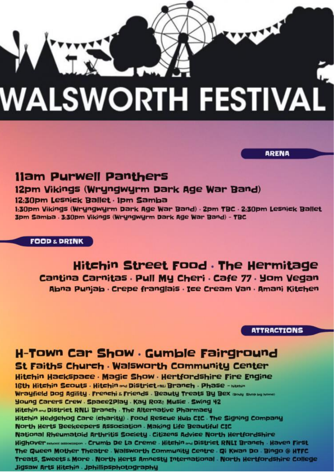# **WALSWORTH FESTIVAI**

**Ilam Purwell Panthers** 

#### 12pm Vikings (Wryngwyrm Dark Age War Band)

#### 12:30pm Lesnick Ballet · Ipm Samba

1:30pm Vikings (Wryngwyrm Dark Age War Band) · 2pm TBC · 2:30pm Lesnick Ballet 3pm Samba . 3:30pm Vikings (Wryngwyrm Dark Age War Band) - TBC

**FOOD & DRINK** 

Hitchin Street Food . The Hermitage Cantina Carnitas . Pull My Cheri . Cafe 77 . Yom Vegan Abna Punjab · Crepe franglais · Ice Cream Van · Amani Kitchen

**ATTRACTIONS** 

**ARENA** 

# H-Town Car Show . Gumble Fairground

St Faiths Church . Walsworth Community Center

Hitchin Hackspace . Magic Show . Hertfordshire Fire Engine

16th Hitchin Scouts . Hitchin and District rau Branch . Phase - Mushin Wrayfield Dog Agility . Frenchi & Friends . Beauty Treats By Bex (Body Shop by home) Young Carers Crew . Space2Play . Kay Roze Music . Swing 42 Hitchin and District RNLi Branch . The Alternative Pharmacy Hitchin Hedgehog Care (charity) . Food Rescue Hub CIC . The Signing Company North Herts Beekeepers Association. Making Life Beautiful CIC National Rheumatoid Arthritis Society . Citizens Advice North Hertfordshire Highover sencol association . Crumb De La Creme . Hitchin and District RNLI Branch . Haven First The Queen Mother Theatre . Walsworth Community Centre . Oi Kwan Do . Bingo @ HTFC Treats, Sweets & More . North Herts Amnesty International . North Hertfordshire College Jigsaw Arts Hitchin . Jphillipsphotography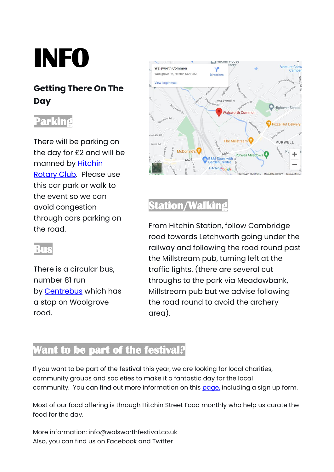# **INFO**

### **Getting There On The Day**

## **Parking**

There will be parking on the day for £2 and will be manned by [Hitchin](http://www.rotary-ribi.org/clubs/homepage.php?ClubID=1873)  [Rotary Club.](http://www.rotary-ribi.org/clubs/homepage.php?ClubID=1873) Please use this car park or walk to the event so we can avoid congestion through cars parking on the road.

#### **Bus**

There is a circular bus, number 81 run by **[Centrebus](https://www.centrebus.info/bus-services/hertfordshire/81/)** which has a stop on Woolgrove road.



## **Station/Walking**

From Hitchin Station, follow Cambridge road towards Letchworth going under the railway and following the road round past the Millstream pub, turning left at the traffic lights. (there are several cut throughs to the park via Meadowbank, Millstream pub but we advise following the road round to avoid the archery area).

### **Want to be part of the festival?**

If you want to be part of the festival this year, we are looking for local charities, community groups and societies to make it a fantastic day for the local community. You can find out more information on this [page,](https://www.walsworthfestival.co.uk/festival-trade-acts/) including a sign up form.

Most of our food offering is through Hitchin Street Food monthly who help us curate the food for the day.

More information: info@walsworthfestival.co.uk Also, you can find us on Facebook and Twitter